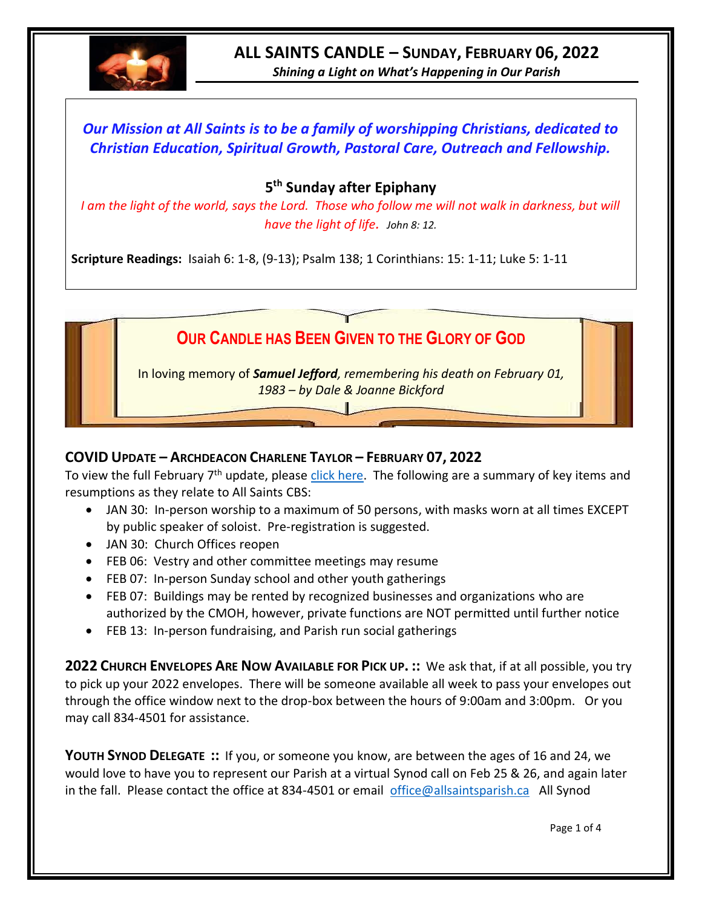

# **ALL SAINTS CANDLE – SUNDAY, FEBRUARY 06, 2022**

*Shining a Light on What's Happening in Our Parish*

## *Our Mission at All Saints is to be a family of worshipping Christians, dedicated to Christian Education, Spiritual Growth, Pastoral Care, Outreach and Fellowship.*

### **5 th Sunday after Epiphany**

*I am the light of the world, says the Lord. Those who follow me will not walk in darkness, but will have the light of life. John 8: 12.*

**Scripture Readings:** Isaiah 6: 1-8, (9-13); Psalm 138; 1 Corinthians: 15: 1-11; Luke 5: 1-11



#### **COVID UPDATE – ARCHDEACON CHARLENE TAYLOR – FEBRUARY 07, 2022**

To view the full February 7<sup>th</sup> update, please [click here.](https://www.facebook.com/AnglicanEastNL/) The following are a summary of key items and resumptions as they relate to All Saints CBS:

- JAN 30: In-person worship to a maximum of 50 persons, with masks worn at all times EXCEPT by public speaker of soloist. Pre-registration is suggested.
- JAN 30: Church Offices reopen
- FEB 06: Vestry and other committee meetings may resume
- FEB 07: In-person Sunday school and other youth gatherings
- FEB 07: Buildings may be rented by recognized businesses and organizations who are authorized by the CMOH, however, private functions are NOT permitted until further notice
- FEB 13: In-person fundraising, and Parish run social gatherings

**2022 CHURCH ENVELOPES ARE NOW AVAILABLE FOR PICK UP. ::** We ask that, if at all possible, you try to pick up your 2022 envelopes. There will be someone available all week to pass your envelopes out through the office window next to the drop-box between the hours of 9:00am and 3:00pm. Or you may call 834-4501 for assistance.

**YOUTH SYNOD DELEGATE ::** If you, or someone you know, are between the ages of 16 and 24, we would love to have you to represent our Parish at a virtual Synod call on Feb 25 & 26, and again later in the fall. Please contact the office at 834-4501 or email [office@allsaintsparish.ca](mailto:office@allsaintsparish.ca) All Synod

Page 1 of 4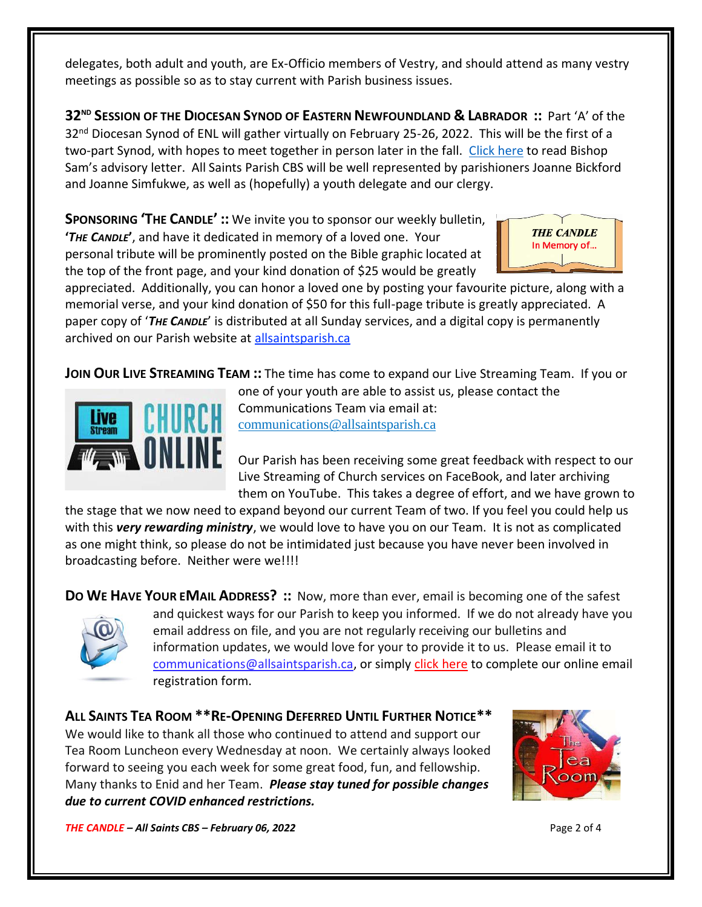delegates, both adult and youth, are Ex-Officio members of Vestry, and should attend as many vestry meetings as possible so as to stay current with Parish business issues.

**32ND SESSION OF THE DIOCESAN SYNOD OF EASTERN NEWFOUNDLAND & LABRADOR ::** Part 'A' of the 32<sup>nd</sup> Diocesan Synod of ENL will gather virtually on February 25-26, 2022. This will be the first of a two-part Synod, with hopes to meet together in person later in the fall. [Click here](https://www.facebook.com/AnglicanEastNL/photos/pcb.5565092873509066/5565092763509077) to read Bishop Sam's advisory letter. All Saints Parish CBS will be well represented by parishioners Joanne Bickford and Joanne Simfukwe, as well as (hopefully) a youth delegate and our clergy.

**SPONSORING 'THE CANDLE' ::** We invite you to sponsor our weekly bulletin, **'***THE CANDLE***'**, and have it dedicated in memory of a loved one. Your personal tribute will be prominently posted on the Bible graphic located at the top of the front page, and your kind donation of \$25 would be greatly



appreciated. Additionally, you can honor a loved one by posting your favourite picture, along with a memorial verse, and your kind donation of \$50 for this full-page tribute is greatly appreciated. A paper copy of '*THE CANDLE*' is distributed at all Sunday services, and a digital copy is permanently archived on our Parish website at [allsaintsparish.ca](http://allsaintsparish.ca/thecandle.html)

**JOIN OUR LIVE STREAMING TEAM ::** The time has come to expand our Live Streaming Team. If you or



one of your youth are able to assist us, please contact the Communications Team via email at: [communications@allsaintsparish.ca](mailto:communications@allsaintsparish.ca?subject=Live%20Streaming%20Team)

Our Parish has been receiving some great feedback with respect to our Live Streaming of Church services on FaceBook, and later archiving them on YouTube. This takes a degree of effort, and we have grown to

the stage that we now need to expand beyond our current Team of two. If you feel you could help us with this *very rewarding ministry*, we would love to have you on our Team. It is not as complicated as one might think, so please do not be intimidated just because you have never been involved in broadcasting before. Neither were we!!!!

**DO WE HAVE YOUR EMAIL ADDRESS? ::** Now, more than ever, email is becoming one of the safest



and quickest ways for our Parish to keep you informed. If we do not already have you email address on file, and you are not regularly receiving our bulletins and information updates, we would love for your to provide it to us. Please email it to [communications@allsaintsparish.ca,](mailto:communications@allsaintsparish.ca?subject=eMail%20Address%20Update) or simply [click here](http://allsaintsparish.ca/email_updates) to complete our online email registration form.

**ALL SAINTS TEA ROOM \*\*RE-OPENING DEFERRED UNTIL FURTHER NOTICE\*\*** We would like to thank all those who continued to attend and support our Tea Room Luncheon every Wednesday at noon. We certainly always looked forward to seeing you each week for some great food, fun, and fellowship. Many thanks to Enid and her Team. *Please stay tuned for possible changes due to current COVID enhanced restrictions.*



*THE CANDLE – All Saints CBS – February 06, 2022* Page 2 of 4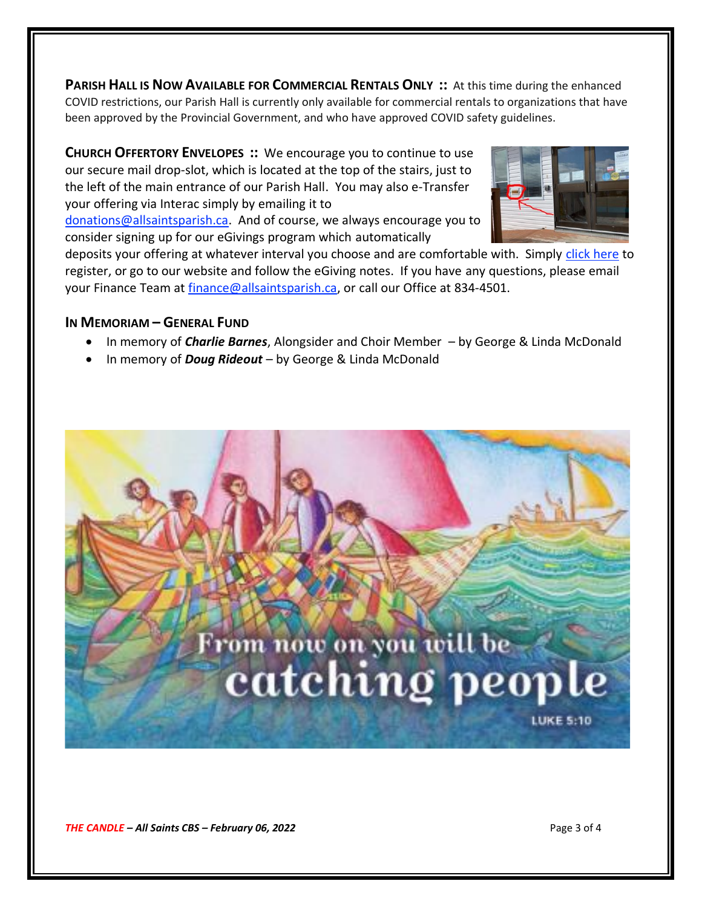**PARISH HALL IS NOW AVAILABLE FOR COMMERCIAL RENTALS ONLY ::** At this time during the enhanced COVID restrictions, our Parish Hall is currently only available for commercial rentals to organizations that have been approved by the Provincial Government, and who have approved COVID safety guidelines.

**CHURCH OFFERTORY ENVELOPES ::** We encourage you to continue to use our secure mail drop-slot, which is located at the top of the stairs, just to the left of the main entrance of our Parish Hall. You may also e-Transfer your offering via Interac simply by emailing it to

[donations@allsaintsparish.ca.](mailto:donations@allsaintsparish.ca) And of course, we always encourage you to consider signing up for our eGivings program which automatically



deposits your offering at whatever interval you choose and are comfortable with. Simply [click here](http://allsaintsparish.ca/egiving-online-information-form) to register, or go to our website and follow the eGiving notes. If you have [any](https://wfsites-to.websitecreatorprotool.com/870a5dd5.com/Admin/%7BSK_NODEID__22939341__SK%7D) questions, please email your Finance Team at [finance@allsaintsparish.ca,](mailto:finance@allsaintsparish.ca) or call our Office at 834-4501.

#### **IN MEMORIAM – GENERAL FUND**

- In memory of *Charlie Barnes*, Alongsider and Choir Member by George & Linda McDonald
- In memory of *Doug Rideout*  by George & Linda McDonald



*THE CANDLE – All Saints CBS – February 06, 2022* Page 3 of 4